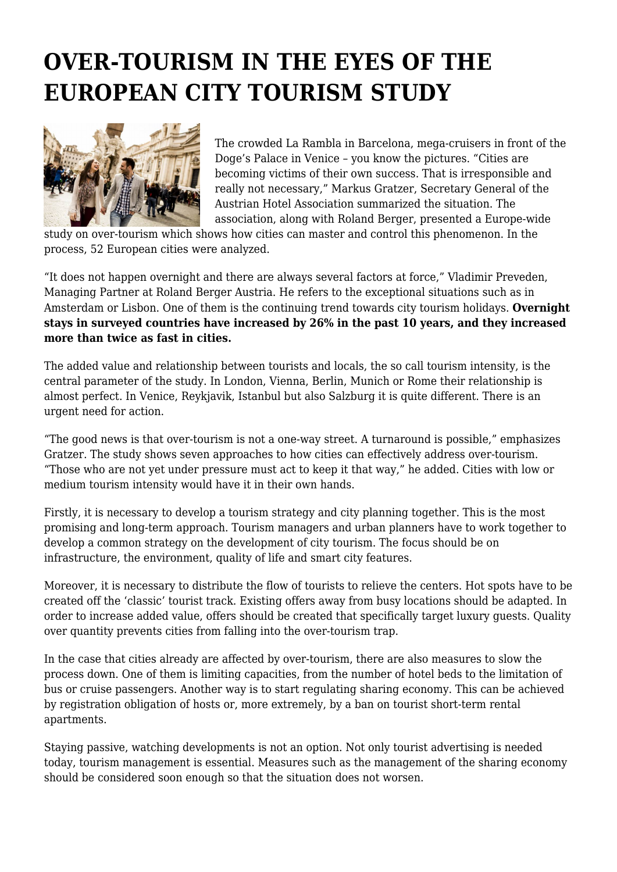## **OVER-TOURISM IN THE EYES OF THE EUROPEAN CITY TOURISM STUDY**



The crowded La Rambla in Barcelona, mega-cruisers in front of the Doge's Palace in Venice – you know the pictures. "Cities are becoming victims of their own success. That is irresponsible and really not necessary," Markus Gratzer, Secretary General of the Austrian Hotel Association summarized the situation. The association, along with Roland Berger, presented a Europe-wide

study on over-tourism which shows how cities can master and control this phenomenon. In the process, 52 European cities were analyzed.

"It does not happen overnight and there are always several factors at force," Vladimir Preveden, Managing Partner at Roland Berger Austria. He refers to the exceptional situations such as in Amsterdam or Lisbon. One of them is the continuing trend towards city tourism holidays. **Overnight stays in surveyed countries have increased by 26% in the past 10 years, and they increased more than twice as fast in cities.**

The added value and relationship between tourists and locals, the so call tourism intensity, is the central parameter of the study. In London, Vienna, Berlin, Munich or Rome their relationship is almost perfect. In Venice, Reykjavik, Istanbul but also Salzburg it is quite different. There is an urgent need for action.

"The good news is that over-tourism is not a one-way street. A turnaround is possible," emphasizes Gratzer. The study shows seven approaches to how cities can effectively address over-tourism. "Those who are not yet under pressure must act to keep it that way," he added. Cities with low or medium tourism intensity would have it in their own hands.

Firstly, it is necessary to develop a tourism strategy and city planning together. This is the most promising and long-term approach. Tourism managers and urban planners have to work together to develop a common strategy on the development of city tourism. The focus should be on infrastructure, the environment, quality of life and smart city features.

Moreover, it is necessary to distribute the flow of tourists to relieve the centers. Hot spots have to be created off the 'classic' tourist track. Existing offers away from busy locations should be adapted. In order to increase added value, offers should be created that specifically target luxury guests. Quality over quantity prevents cities from falling into the over-tourism trap.

In the case that cities already are affected by over-tourism, there are also measures to slow the process down. One of them is limiting capacities, from the number of hotel beds to the limitation of bus or cruise passengers. Another way is to start regulating sharing economy. This can be achieved by registration obligation of hosts or, more extremely, by a ban on tourist short-term rental apartments.

Staying passive, watching developments is not an option. Not only tourist advertising is needed today, tourism management is essential. Measures such as the management of the sharing economy should be considered soon enough so that the situation does not worsen.